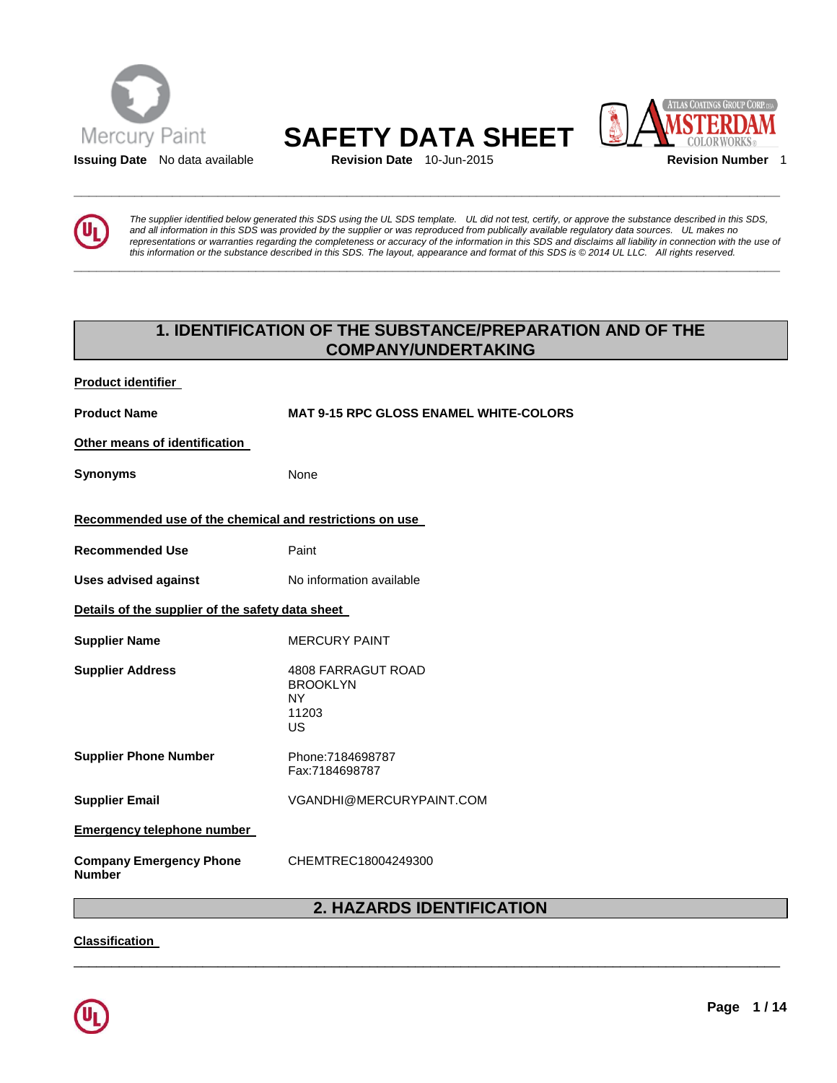



**\_\_\_\_\_\_\_\_\_\_\_\_\_\_\_\_\_\_\_\_\_\_\_\_\_\_\_\_\_\_\_\_\_\_\_\_\_\_\_\_\_\_\_\_\_\_\_\_\_\_\_\_\_\_\_\_\_\_\_\_\_\_\_\_\_\_\_\_\_\_\_\_\_\_\_\_\_\_\_\_\_\_\_\_\_\_\_\_\_\_\_\_\_** 



*The supplier identified below generated this SDS using the UL SDS template. UL did not test, certify, or approve the substance described in this SDS, and all information in this SDS was provided by the supplier or was reproduced from publically available regulatory data sources. UL makes no representations or warranties regarding the completeness or accuracy of the information in this SDS and disclaims all liability in connection with the use of this information or the substance described in this SDS. The layout, appearance and format of this SDS is © 2014 UL LLC. All rights reserved.* 

# **1. IDENTIFICATION OF THE SUBSTANCE/PREPARATION AND OF THE COMPANY/UNDERTAKING**

| <b>Product identifier</b>                               |                                                                          |
|---------------------------------------------------------|--------------------------------------------------------------------------|
| <b>Product Name</b>                                     | <b>MAT 9-15 RPC GLOSS ENAMEL WHITE-COLORS</b>                            |
| Other means of identification                           |                                                                          |
| Synonyms                                                | None                                                                     |
| Recommended use of the chemical and restrictions on use |                                                                          |
| <b>Recommended Use</b>                                  | Paint                                                                    |
| <b>Uses advised against</b>                             | No information available                                                 |
| Details of the supplier of the safety data sheet        |                                                                          |
| <b>Supplier Name</b>                                    | <b>MERCURY PAINT</b>                                                     |
| <b>Supplier Address</b>                                 | 4808 FARRAGUT ROAD<br><b>BROOKLYN</b><br><b>NY</b><br>11203<br><b>US</b> |
| <b>Supplier Phone Number</b>                            | Phone: 7184698787<br>Fax:7184698787                                      |
| <b>Supplier Email</b>                                   | VGANDHI@MERCURYPAINT.COM                                                 |
| <b>Emergency telephone number</b>                       |                                                                          |
| <b>Company Emergency Phone</b><br>Number                | CHEMTREC18004249300                                                      |

# **2. HAZARDS IDENTIFICATION**

\_\_\_\_\_\_\_\_\_\_\_\_\_\_\_\_\_\_\_\_\_\_\_\_\_\_\_\_\_\_\_\_\_\_\_\_\_\_\_\_\_\_\_\_\_\_\_\_\_\_\_\_\_\_\_\_\_\_\_\_\_\_\_\_\_\_\_\_\_\_\_\_\_\_\_\_\_\_\_\_\_\_\_\_\_\_\_\_\_\_\_\_\_

**Classification** 

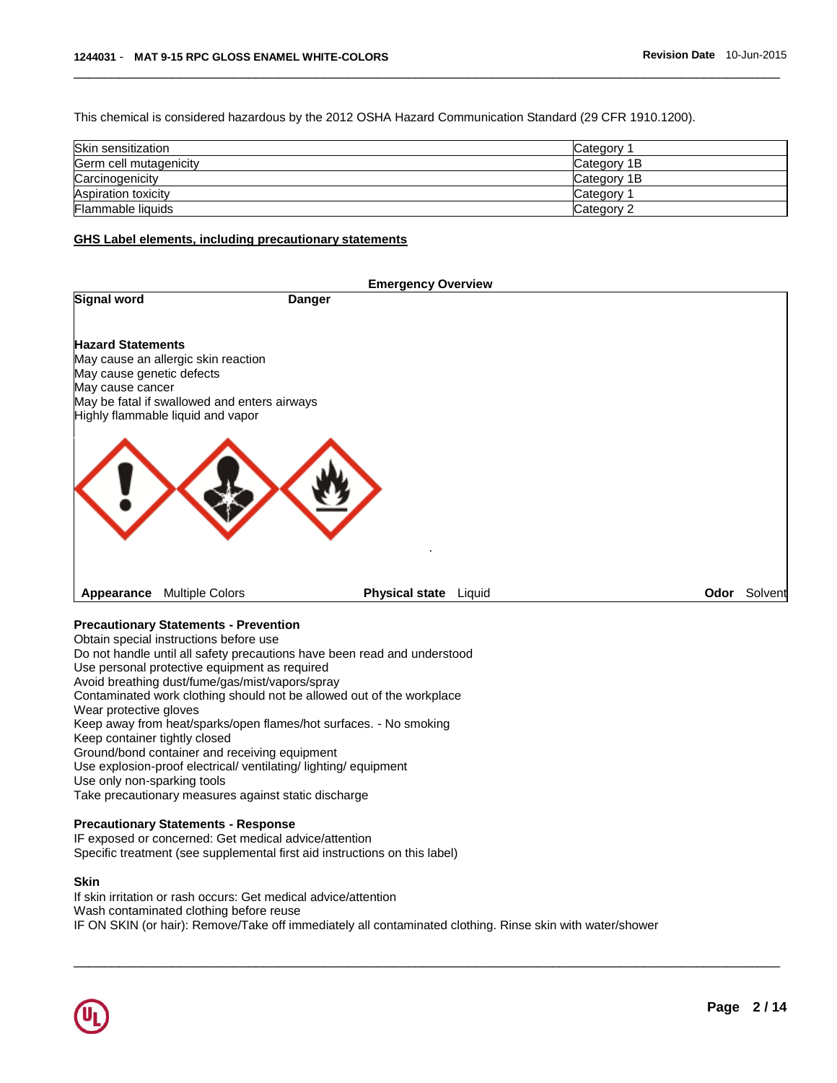This chemical is considered hazardous by the 2012 OSHA Hazard Communication Standard (29 CFR 1910.1200).

| Skin sensitization     | Category              |
|------------------------|-----------------------|
| Germ cell mutagenicity | Category 1B           |
| Carcinogenicity        | Category 1B           |
| Aspiration toxicity    | Category <sup>2</sup> |
| Flammable liquids      | Category 2            |

\_\_\_\_\_\_\_\_\_\_\_\_\_\_\_\_\_\_\_\_\_\_\_\_\_\_\_\_\_\_\_\_\_\_\_\_\_\_\_\_\_\_\_\_\_\_\_\_\_\_\_\_\_\_\_\_\_\_\_\_\_\_\_\_\_\_\_\_\_\_\_\_\_\_\_\_\_\_\_\_\_\_\_\_\_\_\_\_\_\_\_\_\_

### **GHS Label elements, including precautionary statements**

| <b>Emergency Overview</b>                     |                                                                                   |                       |  |      |         |
|-----------------------------------------------|-----------------------------------------------------------------------------------|-----------------------|--|------|---------|
| <b>Signal word</b>                            |                                                                                   | <b>Danger</b>         |  |      |         |
| <b>Hazard Statements</b>                      |                                                                                   |                       |  |      |         |
|                                               | May cause an allergic skin reaction                                               |                       |  |      |         |
| May cause genetic defects<br>May cause cancer |                                                                                   |                       |  |      |         |
|                                               | May be fatal if swallowed and enters airways<br>Highly flammable liquid and vapor |                       |  |      |         |
|                                               |                                                                                   |                       |  |      |         |
|                                               |                                                                                   |                       |  |      |         |
|                                               |                                                                                   |                       |  |      |         |
| Appearance                                    | <b>Multiple Colors</b>                                                            | Physical state Liquid |  | Odor | Solvent |
|                                               |                                                                                   |                       |  |      |         |

### **Precautionary Statements - Prevention**

Obtain special instructions before use Do not handle until all safety precautions have been read and understood Use personal protective equipment as required Avoid breathing dust/fume/gas/mist/vapors/spray Contaminated work clothing should not be allowed out of the workplace Wear protective gloves Keep away from heat/sparks/open flames/hot surfaces. - No smoking Keep container tightly closed Ground/bond container and receiving equipment Use explosion-proof electrical/ ventilating/ lighting/ equipment Use only non-sparking tools Take precautionary measures against static discharge

#### **Precautionary Statements - Response**

IF exposed or concerned: Get medical advice/attention Specific treatment (see supplemental first aid instructions on this label)

### **Skin**

If skin irritation or rash occurs: Get medical advice/attention Wash contaminated clothing before reuse IF ON SKIN (or hair): Remove/Take off immediately all contaminated clothing. Rinse skin with water/shower

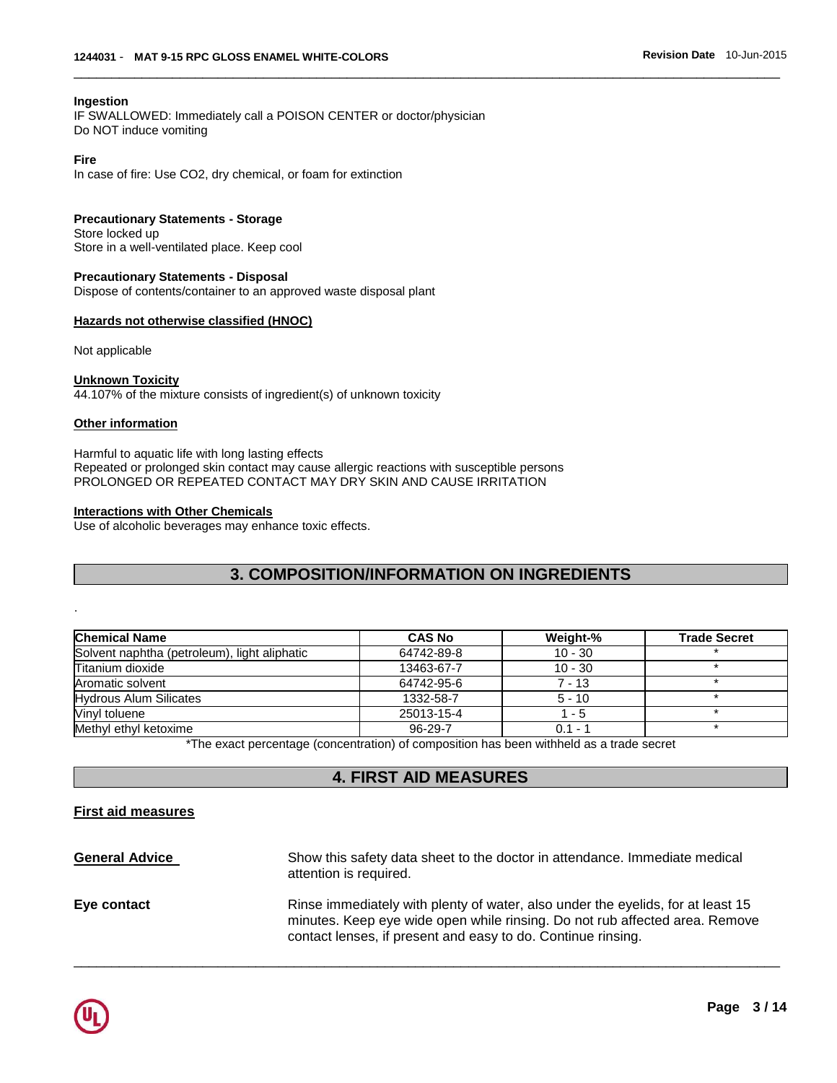### **Ingestion**

IF SWALLOWED: Immediately call a POISON CENTER or doctor/physician Do NOT induce vomiting

### **Fire**

In case of fire: Use CO2, dry chemical, or foam for extinction

### **Precautionary Statements - Storage**

Store locked up Store in a well-ventilated place. Keep cool

#### **Precautionary Statements - Disposal** Dispose of contents/container to an approved waste disposal plant

### **Hazards not otherwise classified (HNOC)**

Not applicable

### **Unknown Toxicity**

44.107% of the mixture consists of ingredient(s) of unknown toxicity

### **Other information**

.

Harmful to aquatic life with long lasting effects Repeated or prolonged skin contact may cause allergic reactions with susceptible persons PROLONGED OR REPEATED CONTACT MAY DRY SKIN AND CAUSE IRRITATION

### **Interactions with Other Chemicals**

Use of alcoholic beverages may enhance toxic effects.

# **3. COMPOSITION/INFORMATION ON INGREDIENTS**

\_\_\_\_\_\_\_\_\_\_\_\_\_\_\_\_\_\_\_\_\_\_\_\_\_\_\_\_\_\_\_\_\_\_\_\_\_\_\_\_\_\_\_\_\_\_\_\_\_\_\_\_\_\_\_\_\_\_\_\_\_\_\_\_\_\_\_\_\_\_\_\_\_\_\_\_\_\_\_\_\_\_\_\_\_\_\_\_\_\_\_\_\_

| <b>Chemical Name</b>                         | <b>CAS No</b> | Weight-%  | <b>Trade Secret</b> |
|----------------------------------------------|---------------|-----------|---------------------|
| Solvent naphtha (petroleum), light aliphatic | 64742-89-8    | $10 - 30$ |                     |
| Titanium dioxide                             | 13463-67-7    | $10 - 30$ |                     |
| Aromatic solvent                             | 64742-95-6    | $7 - 13$  |                     |
| <b>Hydrous Alum Silicates</b>                | 1332-58-7     | $5 - 10$  |                     |
| Vinyl toluene                                | 25013-15-4    | 1 - 5     |                     |
| Methyl ethyl ketoxime                        | 96-29-7       | $0.1 - ?$ |                     |

\*The exact percentage (concentration) of composition has been withheld as a trade secret

# **4. FIRST AID MEASURES**

### **First aid measures**

**General Advice** Show this safety data sheet to the doctor in attendance. Immediate medical attention is required. **Eye contact Rinse immediately with plenty of water, also under the eyelids, for at least 15** minutes. Keep eye wide open while rinsing. Do not rub affected area. Remove contact lenses, if present and easy to do. Continue rinsing.

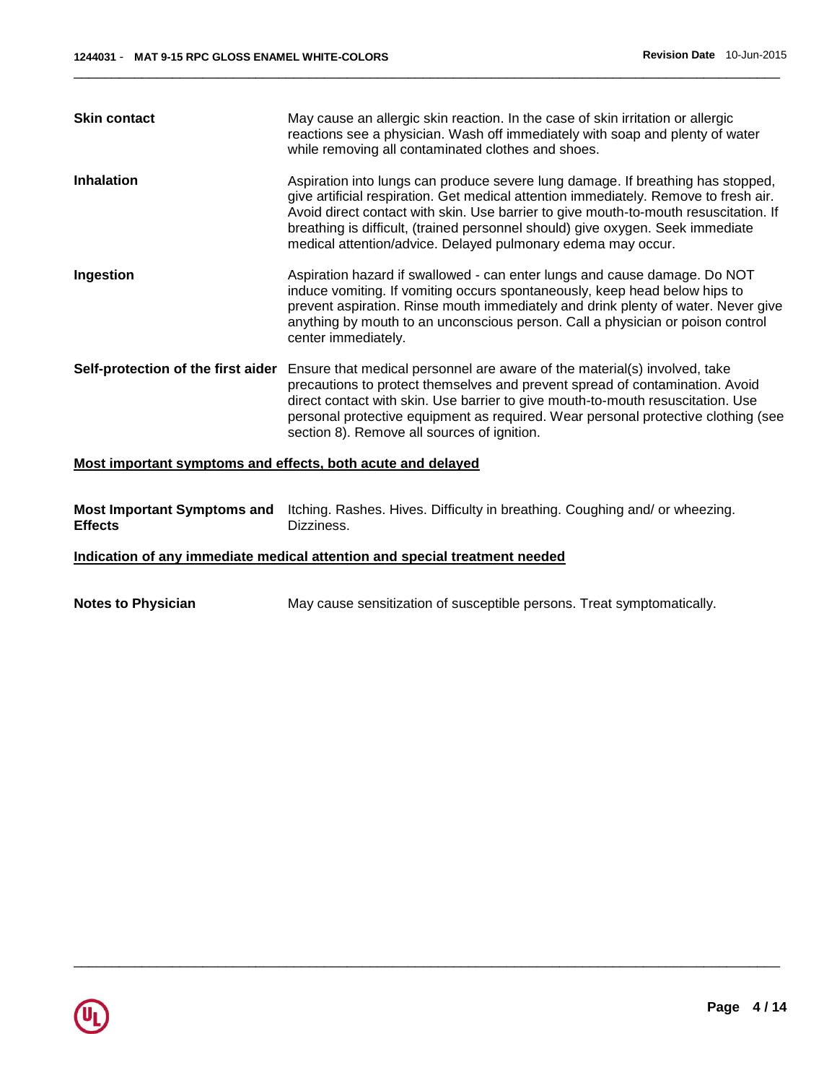| <b>Skin contact</b>                                         | May cause an allergic skin reaction. In the case of skin irritation or allergic<br>reactions see a physician. Wash off immediately with soap and plenty of water<br>while removing all contaminated clothes and shoes.                                                                                                                                                                                            |
|-------------------------------------------------------------|-------------------------------------------------------------------------------------------------------------------------------------------------------------------------------------------------------------------------------------------------------------------------------------------------------------------------------------------------------------------------------------------------------------------|
| <b>Inhalation</b>                                           | Aspiration into lungs can produce severe lung damage. If breathing has stopped,<br>give artificial respiration. Get medical attention immediately. Remove to fresh air.<br>Avoid direct contact with skin. Use barrier to give mouth-to-mouth resuscitation. If<br>breathing is difficult, (trained personnel should) give oxygen. Seek immediate<br>medical attention/advice. Delayed pulmonary edema may occur. |
| Ingestion                                                   | Aspiration hazard if swallowed - can enter lungs and cause damage. Do NOT<br>induce vomiting. If vomiting occurs spontaneously, keep head below hips to<br>prevent aspiration. Rinse mouth immediately and drink plenty of water. Never give<br>anything by mouth to an unconscious person. Call a physician or poison control<br>center immediately.                                                             |
| Self-protection of the first aider                          | Ensure that medical personnel are aware of the material(s) involved, take<br>precautions to protect themselves and prevent spread of contamination. Avoid<br>direct contact with skin. Use barrier to give mouth-to-mouth resuscitation. Use<br>personal protective equipment as required. Wear personal protective clothing (see<br>section 8). Remove all sources of ignition.                                  |
| Most important symptoms and effects, both acute and delayed |                                                                                                                                                                                                                                                                                                                                                                                                                   |
|                                                             |                                                                                                                                                                                                                                                                                                                                                                                                                   |

|                | Most Important Symptoms and Itching. Rashes. Hives. Difficulty in breathing. Coughing and/ or wheezing. |
|----------------|---------------------------------------------------------------------------------------------------------|
| <b>Effects</b> | Dizziness.                                                                                              |

**Indication of any immediate medical attention and special treatment needed**

```
Notes to Physician May cause sensitization of susceptible persons. Treat symptomatically.
```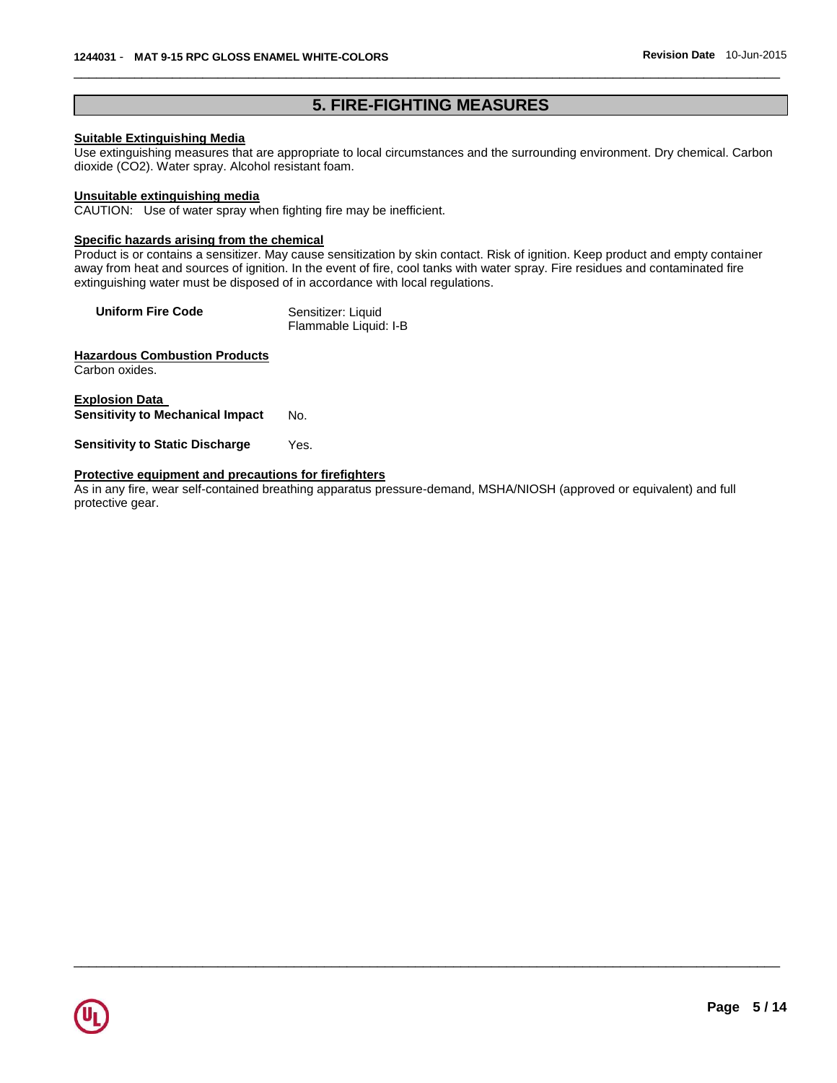# **5. FIRE-FIGHTING MEASURES**

\_\_\_\_\_\_\_\_\_\_\_\_\_\_\_\_\_\_\_\_\_\_\_\_\_\_\_\_\_\_\_\_\_\_\_\_\_\_\_\_\_\_\_\_\_\_\_\_\_\_\_\_\_\_\_\_\_\_\_\_\_\_\_\_\_\_\_\_\_\_\_\_\_\_\_\_\_\_\_\_\_\_\_\_\_\_\_\_\_\_\_\_\_

# **Suitable Extinguishing Media**

Use extinguishing measures that are appropriate to local circumstances and the surrounding environment. Dry chemical. Carbon dioxide (CO2). Water spray. Alcohol resistant foam.

# **Unsuitable extinguishing media**

CAUTION: Use of water spray when fighting fire may be inefficient.

# **Specific hazards arising from the chemical**

Product is or contains a sensitizer. May cause sensitization by skin contact. Risk of ignition. Keep product and empty container away from heat and sources of ignition. In the event of fire, cool tanks with water spray. Fire residues and contaminated fire extinguishing water must be disposed of in accordance with local regulations.

| <b>Uniform Fire Code</b> | Sensitizer: Liquid    |
|--------------------------|-----------------------|
|                          | Flammable Liquid: I-B |

# **Hazardous Combustion Products**

Carbon oxides.

**Explosion Data Sensitivity to Mechanical Impact No.** 

**Sensitivity to Static Discharge** Yes.

# **Protective equipment and precautions for firefighters**

As in any fire, wear self-contained breathing apparatus pressure-demand, MSHA/NIOSH (approved or equivalent) and full protective gear.

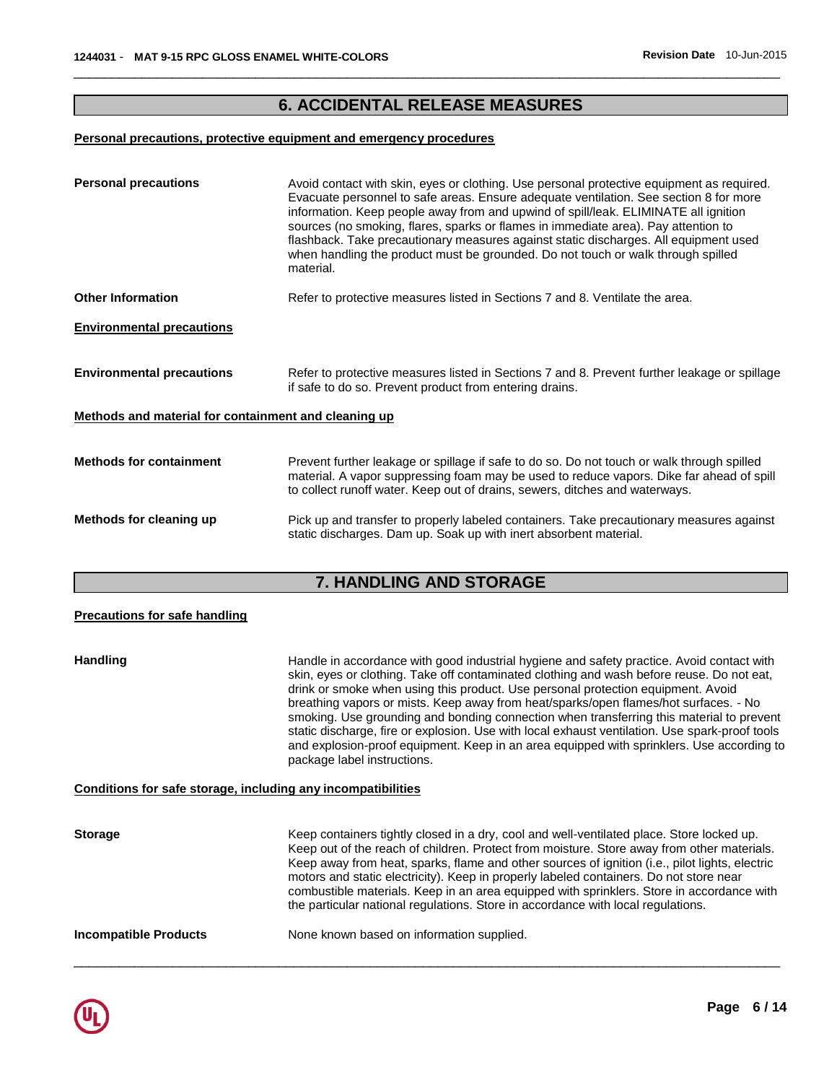# **6. ACCIDENTAL RELEASE MEASURES**

\_\_\_\_\_\_\_\_\_\_\_\_\_\_\_\_\_\_\_\_\_\_\_\_\_\_\_\_\_\_\_\_\_\_\_\_\_\_\_\_\_\_\_\_\_\_\_\_\_\_\_\_\_\_\_\_\_\_\_\_\_\_\_\_\_\_\_\_\_\_\_\_\_\_\_\_\_\_\_\_\_\_\_\_\_\_\_\_\_\_\_\_\_

# **Personal precautions, protective equipment and emergency procedures**

| <b>Personal precautions</b>                          | Avoid contact with skin, eyes or clothing. Use personal protective equipment as required.<br>Evacuate personnel to safe areas. Ensure adequate ventilation. See section 8 for more<br>information. Keep people away from and upwind of spill/leak. ELIMINATE all ignition<br>sources (no smoking, flares, sparks or flames in immediate area). Pay attention to<br>flashback. Take precautionary measures against static discharges. All equipment used<br>when handling the product must be grounded. Do not touch or walk through spilled<br>material. |
|------------------------------------------------------|----------------------------------------------------------------------------------------------------------------------------------------------------------------------------------------------------------------------------------------------------------------------------------------------------------------------------------------------------------------------------------------------------------------------------------------------------------------------------------------------------------------------------------------------------------|
| <b>Other Information</b>                             | Refer to protective measures listed in Sections 7 and 8. Ventilate the area.                                                                                                                                                                                                                                                                                                                                                                                                                                                                             |
| <b>Environmental precautions</b>                     |                                                                                                                                                                                                                                                                                                                                                                                                                                                                                                                                                          |
| <b>Environmental precautions</b>                     | Refer to protective measures listed in Sections 7 and 8. Prevent further leakage or spillage<br>if safe to do so. Prevent product from entering drains.                                                                                                                                                                                                                                                                                                                                                                                                  |
| Methods and material for containment and cleaning up |                                                                                                                                                                                                                                                                                                                                                                                                                                                                                                                                                          |
| <b>Methods for containment</b>                       | Prevent further leakage or spillage if safe to do so. Do not touch or walk through spilled<br>material. A vapor suppressing foam may be used to reduce vapors. Dike far ahead of spill<br>to collect runoff water. Keep out of drains, sewers, ditches and waterways.                                                                                                                                                                                                                                                                                    |
| Methods for cleaning up                              | Pick up and transfer to properly labeled containers. Take precautionary measures against<br>static discharges. Dam up. Soak up with inert absorbent material.                                                                                                                                                                                                                                                                                                                                                                                            |

# **7. HANDLING AND STORAGE**

| <b>Precautions for safe handling</b>                         |                                                                                                                                                                                                                                                                                                                                                                                                                                                                                                                                                                                                                                                                                              |
|--------------------------------------------------------------|----------------------------------------------------------------------------------------------------------------------------------------------------------------------------------------------------------------------------------------------------------------------------------------------------------------------------------------------------------------------------------------------------------------------------------------------------------------------------------------------------------------------------------------------------------------------------------------------------------------------------------------------------------------------------------------------|
| <b>Handling</b>                                              | Handle in accordance with good industrial hygiene and safety practice. Avoid contact with<br>skin, eyes or clothing. Take off contaminated clothing and wash before reuse. Do not eat,<br>drink or smoke when using this product. Use personal protection equipment. Avoid<br>breathing vapors or mists. Keep away from heat/sparks/open flames/hot surfaces. - No<br>smoking. Use grounding and bonding connection when transferring this material to prevent<br>static discharge, fire or explosion. Use with local exhaust ventilation. Use spark-proof tools<br>and explosion-proof equipment. Keep in an area equipped with sprinklers. Use according to<br>package label instructions. |
| Conditions for safe storage, including any incompatibilities |                                                                                                                                                                                                                                                                                                                                                                                                                                                                                                                                                                                                                                                                                              |
| <b>Storage</b>                                               | Keep containers tightly closed in a dry, cool and well-ventilated place. Store locked up.<br>Keep out of the reach of children. Protect from moisture. Store away from other materials.<br>Keep away from heat, sparks, flame and other sources of ignition (i.e., pilot lights, electric<br>motors and static electricity). Keep in properly labeled containers. Do not store near<br>combustible materials. Keep in an area equipped with sprinklers. Store in accordance with<br>the particular national regulations. Store in accordance with local regulations.                                                                                                                         |
| <b>Incompatible Products</b>                                 | None known based on information supplied.                                                                                                                                                                                                                                                                                                                                                                                                                                                                                                                                                                                                                                                    |

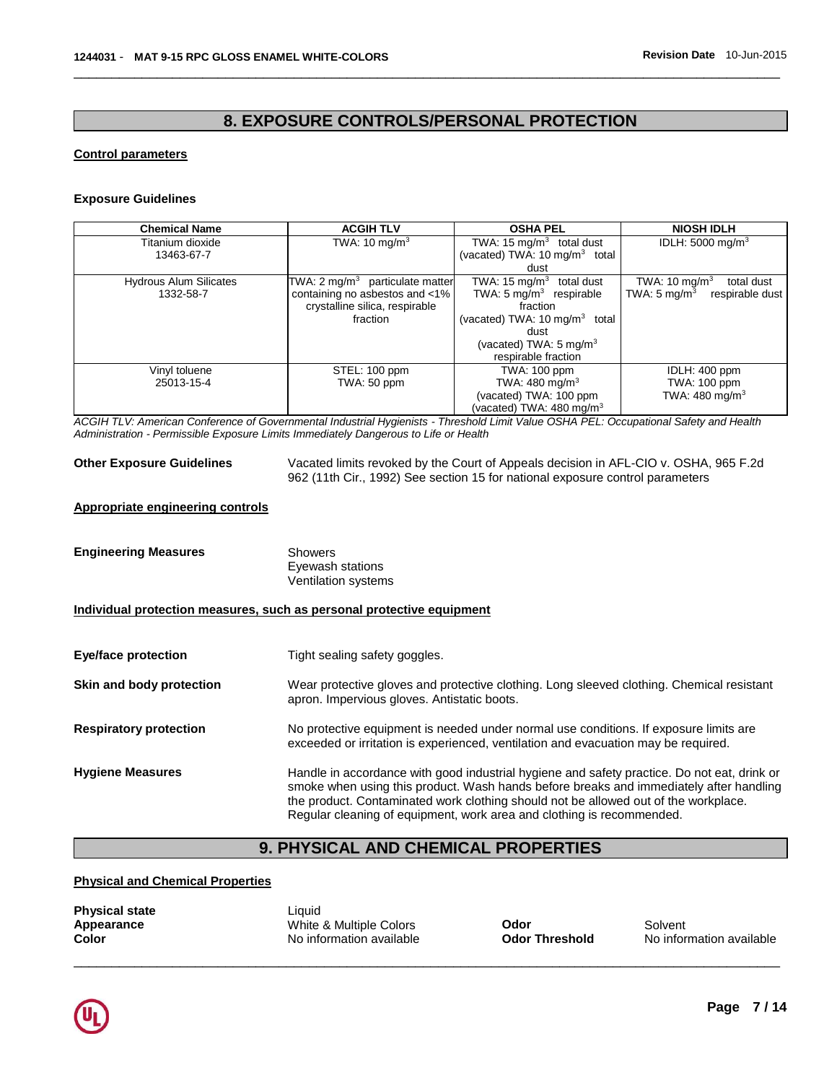# **8. EXPOSURE CONTROLS/PERSONAL PROTECTION**

\_\_\_\_\_\_\_\_\_\_\_\_\_\_\_\_\_\_\_\_\_\_\_\_\_\_\_\_\_\_\_\_\_\_\_\_\_\_\_\_\_\_\_\_\_\_\_\_\_\_\_\_\_\_\_\_\_\_\_\_\_\_\_\_\_\_\_\_\_\_\_\_\_\_\_\_\_\_\_\_\_\_\_\_\_\_\_\_\_\_\_\_\_

### **Control parameters**

#### **Exposure Guidelines**

| <b>Chemical Name</b>          | <b>ACGIH TLV</b>                           | <b>OSHA PEL</b>                          | <b>NIOSH IDLH</b>                          |
|-------------------------------|--------------------------------------------|------------------------------------------|--------------------------------------------|
| Titanium dioxide              | TWA: $10 \text{ mg/m}^3$                   | TWA: 15 $mg/m3$ total dust               | IDLH: $5000 \text{ mg/m}^3$                |
| 13463-67-7                    |                                            | (vacated) TWA: $10 \text{ mg/m}^3$ total |                                            |
|                               |                                            | dust                                     |                                            |
| <b>Hydrous Alum Silicates</b> | TWA: $2 \text{ mg/m}^3$ particulate matter | TWA: $15 \text{ mg/m}^3$<br>total dust   | TWA: $10 \text{ mg/m}^3$<br>total dust     |
| 1332-58-7                     | containing no asbestos and <1%             | TWA: $5 \text{ mg/m}^3$ respirable       | TWA: $5 \text{ mg/m}^3$<br>respirable dust |
|                               | crystalline silica, respirable             | fraction                                 |                                            |
|                               | fraction                                   | (vacated) TWA: $10 \text{ mg/m}^3$ total |                                            |
|                               |                                            | dust                                     |                                            |
|                               |                                            | (vacated) TWA: $5 \text{ mg/m}^3$        |                                            |
|                               |                                            | respirable fraction                      |                                            |
| Vinyl toluene                 | STEL: 100 ppm                              | TWA: 100 ppm                             | IDLH: 400 ppm                              |
| 25013-15-4                    | TWA: 50 ppm                                | TWA: $480 \text{ mg/m}^3$                | <b>TWA: 100 ppm</b>                        |
|                               |                                            | (vacated) TWA: 100 ppm                   | TWA: $480 \text{ mg/m}^3$                  |
|                               |                                            | (vacated) TWA: 480 mg/m $3$              |                                            |

*ACGIH TLV: American Conference of Governmental Industrial Hygienists - Threshold Limit Value OSHA PEL: Occupational Safety and Health Administration - Permissible Exposure Limits Immediately Dangerous to Life or Health* 

**Other Exposure Guidelines** Vacated limits revoked by the Court of Appeals decision in AFL-CIO v. OSHA, 965 F.2d 962 (11th Cir., 1992) See section 15 for national exposure control parameters

# **Appropriate engineering controls**

| <b>Engineering Measures</b>                                           | <b>Showers</b><br>Eyewash stations<br>Ventilation systems                                                                                                                                                                                                                                                                                             |
|-----------------------------------------------------------------------|-------------------------------------------------------------------------------------------------------------------------------------------------------------------------------------------------------------------------------------------------------------------------------------------------------------------------------------------------------|
| Individual protection measures, such as personal protective equipment |                                                                                                                                                                                                                                                                                                                                                       |
| <b>Eye/face protection</b>                                            | Tight sealing safety goggles.                                                                                                                                                                                                                                                                                                                         |
| Skin and body protection                                              | Wear protective gloves and protective clothing. Long sleeved clothing. Chemical resistant<br>apron. Impervious gloves. Antistatic boots.                                                                                                                                                                                                              |
| <b>Respiratory protection</b>                                         | No protective equipment is needed under normal use conditions. If exposure limits are<br>exceeded or irritation is experienced, ventilation and evacuation may be required.                                                                                                                                                                           |
| <b>Hygiene Measures</b>                                               | Handle in accordance with good industrial hygiene and safety practice. Do not eat, drink or<br>smoke when using this product. Wash hands before breaks and immediately after handling<br>the product. Contaminated work clothing should not be allowed out of the workplace.<br>Regular cleaning of equipment, work area and clothing is recommended. |

# **9. PHYSICAL AND CHEMICAL PROPERTIES**

# **Physical and Chemical Properties**

| <b>Physical state</b> | Liauid                   |                       |                          |
|-----------------------|--------------------------|-----------------------|--------------------------|
| Appearance            | White & Multiple Colors  | Odor                  | Solvent                  |
| Color                 | No information available | <b>Odor Threshold</b> | No information available |

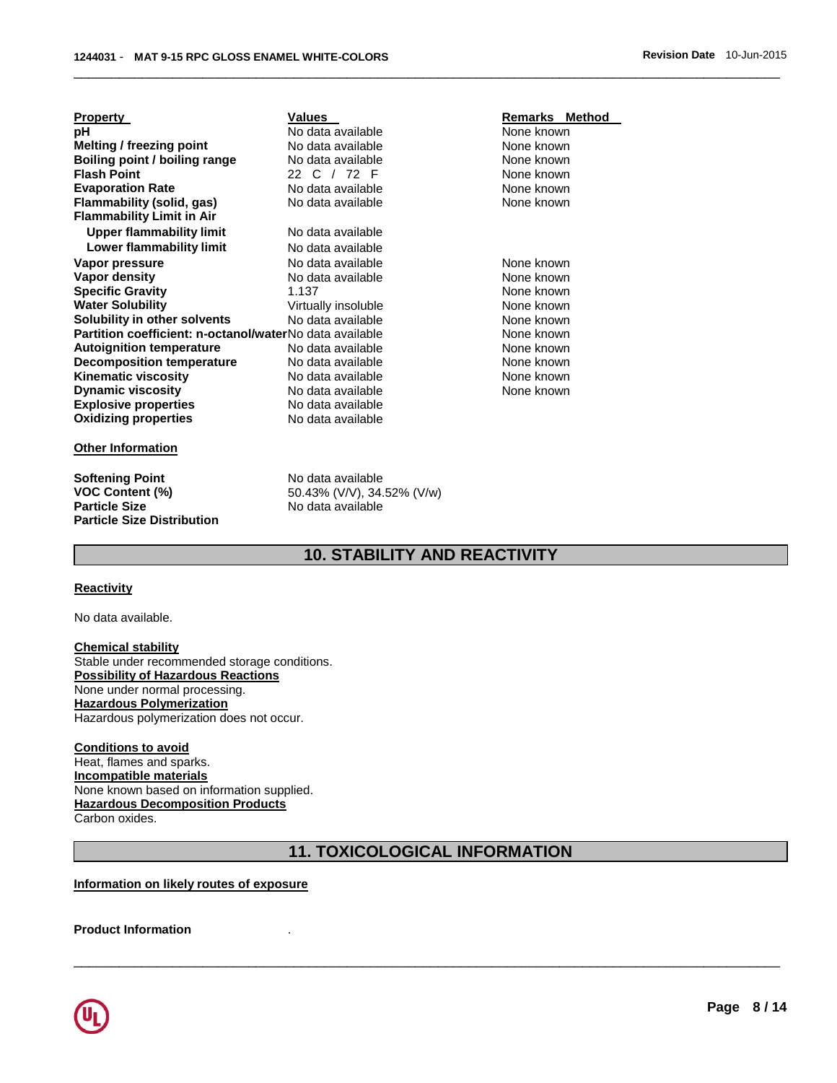| <b>Property</b>                                         | <b>Values</b>       |
|---------------------------------------------------------|---------------------|
| рH                                                      | No data available   |
| <b>Melting / freezing point</b>                         | No data available   |
| Boiling point / boiling range                           | No data available   |
| <b>Flash Point</b>                                      | 22 C / 72 F         |
| <b>Evaporation Rate</b>                                 | No data available   |
| Flammability (solid, gas)                               | No data available   |
| <b>Flammability Limit in Air</b>                        |                     |
| <b>Upper flammability limit</b>                         | No data available   |
| Lower flammability limit                                | No data available   |
| Vapor pressure                                          | No data available   |
| <b>Vapor density</b>                                    | No data available   |
| <b>Specific Gravity</b>                                 | 1.137               |
| <b>Water Solubility</b>                                 | Virtually insoluble |
| Solubility in other solvents                            | No data available   |
| Partition coefficient: n-octanol/waterNo data available |                     |
| <b>Autoignition temperature</b>                         | No data available   |
| <b>Decomposition temperature</b>                        | No data available   |
| <b>Kinematic viscosity</b>                              | No data available   |
| <b>Dynamic viscosity</b>                                | No data available   |
| <b>Explosive properties</b>                             | No data available   |
| <b>Oxidizing properties</b>                             | No data available   |
|                                                         |                     |

#### **Other Information**

**Softening Point No data available**<br>**VOC Content (%)** 50.43% (V/V), 34. **Particle Size Distribution** 

**Flammability (solid, gas) None known** 

**VOC Content (%) 50.43% (V/V), 34.52% (V/w)**<br>**Particle Size 19.52% (Signal Size No data available Particle Size** No data available

#### **Remarks Method physical available None known Alternative School** Mone known **Boiling point in the South Property Rone known None known Evaluation Rate in Rate Available Rate Available Rate Available Rate Available R**

**None known None known None known Water Solution Solution Solution Solution Solution Solution Solution Solution Solution Solution Solution Solution Solution Solution Solution Solution Solution Solution Solution Solution Solution Solution Solution Solution None known None known None known None known None known None known** 

# **10. STABILITY AND REACTIVITY**

\_\_\_\_\_\_\_\_\_\_\_\_\_\_\_\_\_\_\_\_\_\_\_\_\_\_\_\_\_\_\_\_\_\_\_\_\_\_\_\_\_\_\_\_\_\_\_\_\_\_\_\_\_\_\_\_\_\_\_\_\_\_\_\_\_\_\_\_\_\_\_\_\_\_\_\_\_\_\_\_\_\_\_\_\_\_\_\_\_\_\_\_\_

### **Reactivity**

No data available.

**Chemical stability** Stable under recommended storage conditions. **Possibility of Hazardous Reactions** None under normal processing. **Hazardous Polymerization** Hazardous polymerization does not occur.

#### **Conditions to avoid**

Heat, flames and sparks. **Incompatible materials** None known based on information supplied. **Hazardous Decomposition Products** Carbon oxides.

# **11. TOXICOLOGICAL INFORMATION**

\_\_\_\_\_\_\_\_\_\_\_\_\_\_\_\_\_\_\_\_\_\_\_\_\_\_\_\_\_\_\_\_\_\_\_\_\_\_\_\_\_\_\_\_\_\_\_\_\_\_\_\_\_\_\_\_\_\_\_\_\_\_\_\_\_\_\_\_\_\_\_\_\_\_\_\_\_\_\_\_\_\_\_\_\_\_\_\_\_\_\_\_\_

**Information on likely routes of exposure**

**Product Information** .

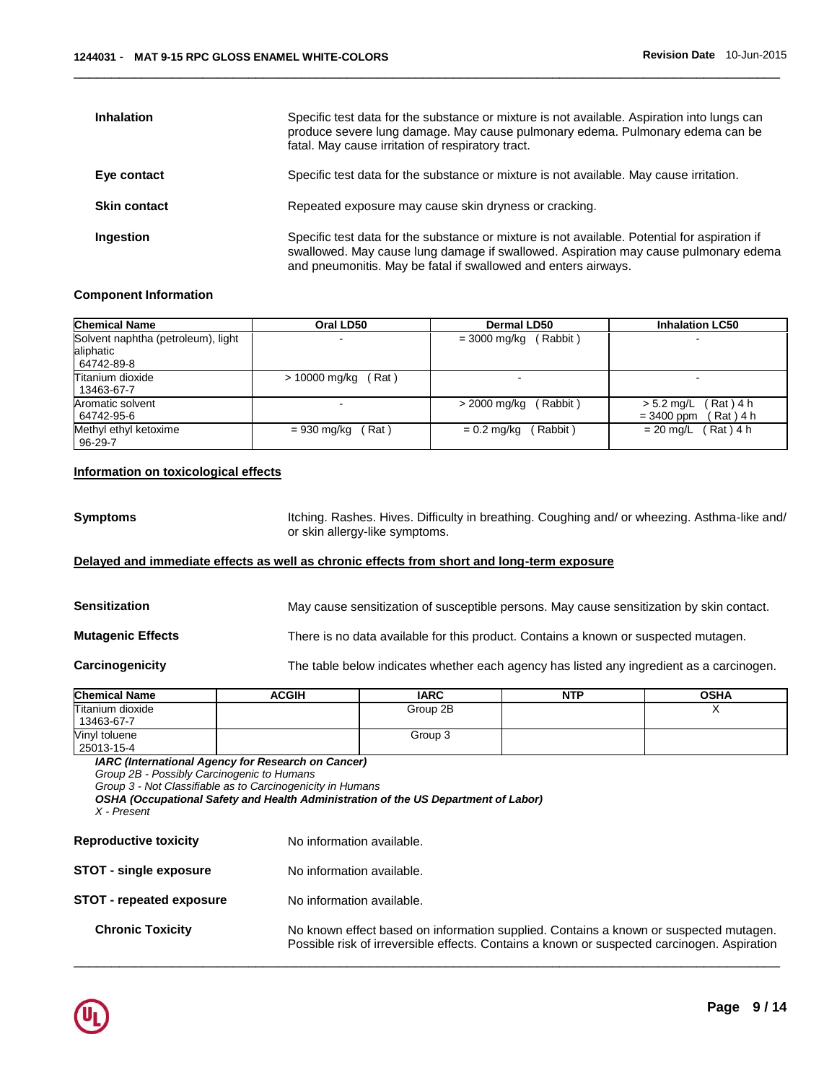| <b>Inhalation</b>   | Specific test data for the substance or mixture is not available. Aspiration into lungs can<br>produce severe lung damage. May cause pulmonary edema. Pulmonary edema can be<br>fatal. May cause irritation of respiratory tract.                      |
|---------------------|--------------------------------------------------------------------------------------------------------------------------------------------------------------------------------------------------------------------------------------------------------|
| Eye contact         | Specific test data for the substance or mixture is not available. May cause irritation.                                                                                                                                                                |
| <b>Skin contact</b> | Repeated exposure may cause skin dryness or cracking.                                                                                                                                                                                                  |
| Ingestion           | Specific test data for the substance or mixture is not available. Potential for aspiration if<br>swallowed. May cause lung damage if swallowed. Aspiration may cause pulmonary edema<br>and pneumonitis. May be fatal if swallowed and enters airways. |

#### **Component Information**

| <b>Chemical Name</b>               | Oral LD50              | <b>Dermal LD50</b>        | <b>Inhalation LC50</b>     |
|------------------------------------|------------------------|---------------------------|----------------------------|
| Solvent naphtha (petroleum), light |                        | (Rabbit)<br>= 3000 mg/kg  |                            |
| aliphatic                          |                        |                           |                            |
| 64742-89-8                         |                        |                           |                            |
| Titanium dioxide                   | > 10000 mg/kg<br>(Rat) |                           |                            |
| 13463-67-7                         |                        |                           |                            |
| Aromatic solvent                   |                        | (Rabbit)<br>> 2000 mg/kg  | Rat ) 4 h<br>$> 5.2$ mg/L  |
| 64742-95-6                         |                        |                           | (Rat)4 h<br>$= 3400$ ppm   |
| Methyl ethyl ketoxime              | Rat)<br>= 930 mg/kg    | (Rabbit)<br>$= 0.2$ ma/ka | $(Rat)$ 4 h<br>$= 20$ ma/L |
| 96-29-7                            |                        |                           |                            |

# **Information on toxicological effects**

**Symptoms** Itching. Rashes. Hives. Difficulty in breathing. Coughing and/ or wheezing. Asthma-like and/ or skin allergy-like symptoms.

# **Delayed and immediate effects as well as chronic effects from short and long-term exposure**

| <b>Sensitization</b>     | May cause sensitization of susceptible persons. May cause sensitization by skin contact. |
|--------------------------|------------------------------------------------------------------------------------------|
| <b>Mutagenic Effects</b> | There is no data available for this product. Contains a known or suspected mutagen.      |
| Carcinogenicity          | The table below indicates whether each agency has listed any ingredient as a carcinogen. |

| <b>Chemical Name</b> | <b>ACGIH</b> | <b>IARC</b> | <b>NTP</b> | <b>OSHA</b> |
|----------------------|--------------|-------------|------------|-------------|
| Titanium dioxide     |              | Group 2B    |            |             |
| 13463-67-7           |              |             |            |             |
| Vinyl toluene        |              | Group 3     |            |             |
| 25013-15-4           |              |             |            |             |

\_\_\_\_\_\_\_\_\_\_\_\_\_\_\_\_\_\_\_\_\_\_\_\_\_\_\_\_\_\_\_\_\_\_\_\_\_\_\_\_\_\_\_\_\_\_\_\_\_\_\_\_\_\_\_\_\_\_\_\_\_\_\_\_\_\_\_\_\_\_\_\_\_\_\_\_\_\_\_\_\_\_\_\_\_\_\_\_\_\_\_\_\_

*IARC (International Agency for Research on Cancer)*

*Group 2B - Possibly Carcinogenic to Humans*

*Group 3 - Not Classifiable as to Carcinogenicity in Humans* 

*OSHA (Occupational Safety and Health Administration of the US Department of Labor)*

```
X - Present
```

| <b>Reproductive toxicity</b>    | No information available.                                                   |
|---------------------------------|-----------------------------------------------------------------------------|
| <b>STOT - single exposure</b>   | No information available.                                                   |
| <b>STOT - repeated exposure</b> | No information available.                                                   |
| <b>Chronic Toxicity</b>         | No known effect based on informati<br>Possible risk of irreversible effects |

ion supplied. Contains a known or suspected mutagen. Contains a known or suspected carcinogen. Aspiration

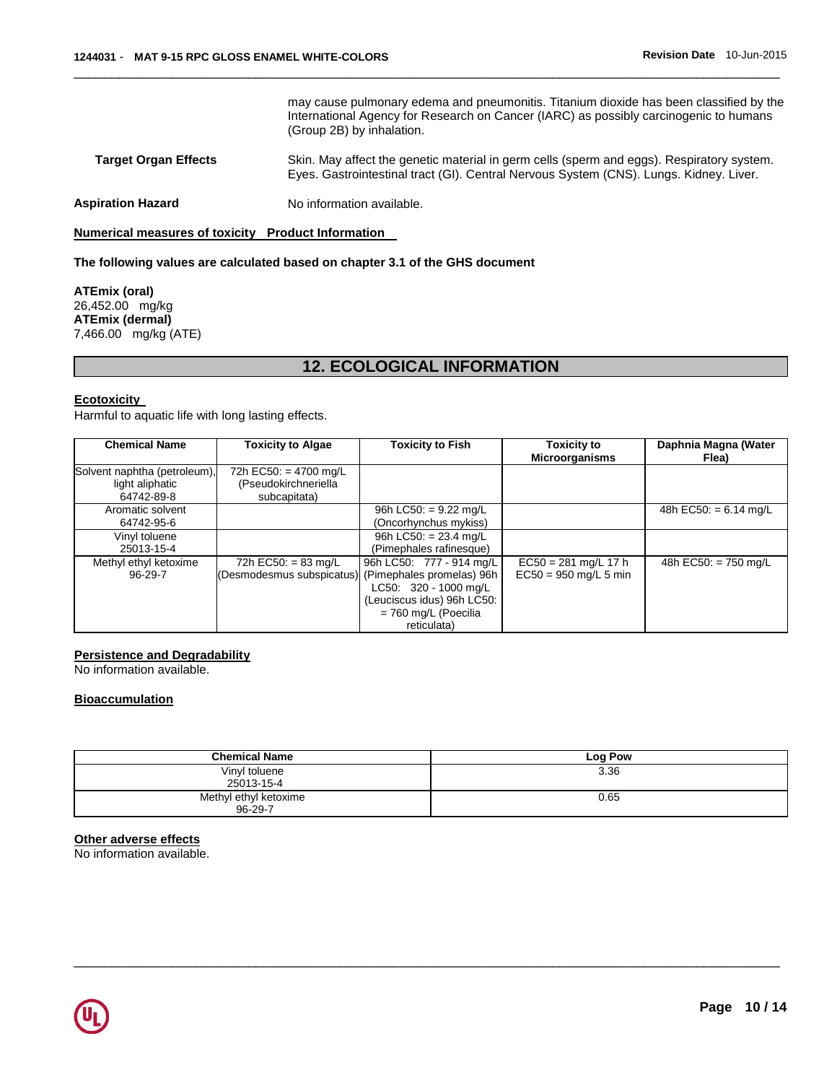|                             | may cause pulmonary edema and pneumonitis. Titanium dioxide has been classified by the<br>International Agency for Research on Cancer (IARC) as possibly carcinogenic to humans<br>(Group 2B) by inhalation. |
|-----------------------------|--------------------------------------------------------------------------------------------------------------------------------------------------------------------------------------------------------------|
| <b>Target Organ Effects</b> | Skin. May affect the genetic material in germ cells (sperm and eggs). Respiratory system.<br>Eyes. Gastrointestinal tract (GI). Central Nervous System (CNS). Lungs. Kidney. Liver.                          |
| Aspiration Hazard           | No information available.                                                                                                                                                                                    |

### **Numerical measures of toxicity Product Information**

# **The following values are calculated based on chapter 3.1 of the GHS document**

**ATEmix (oral)** 26,452.00 mg/kg **ATEmix (dermal)** 7,466.00 mg/kg (ATE)

# **12. ECOLOGICAL INFORMATION**

### **Ecotoxicity**

Harmful to aquatic life with long lasting effects.

| <b>Chemical Name</b>                                          | <b>Toxicity to Algae</b>                                      | <b>Toxicity to Fish</b>                                                                                                                               | <b>Toxicity to</b><br><b>Microorganisms</b>       | Daphnia Magna (Water<br>Flea)   |
|---------------------------------------------------------------|---------------------------------------------------------------|-------------------------------------------------------------------------------------------------------------------------------------------------------|---------------------------------------------------|---------------------------------|
| Solvent naphtha (petroleum),<br>light aliphatic<br>64742-89-8 | 72h EC50: = 4700 mg/L<br>(Pseudokirchneriella<br>subcapitata) |                                                                                                                                                       |                                                   |                                 |
| Aromatic solvent<br>64742-95-6                                |                                                               | 96h LC50: = $9.22 \text{ mg/L}$<br>(Oncorhynchus mykiss)                                                                                              |                                                   | 48h EC50: = $6.14 \text{ mg/L}$ |
| Vinyl toluene<br>25013-15-4                                   |                                                               | 96h LC50: $= 23.4$ mg/L<br>(Pimephales rafinesque)                                                                                                    |                                                   |                                 |
| Methyl ethyl ketoxime<br>96-29-7                              | 72h EC50: = 83 mg/L<br>(Desmodesmus subspicatus)              | 96h LC50: 777 - 914 mg/L<br>(Pimephales promelas) 96h<br>LC50: 320 - 1000 mg/L<br>(Leuciscus idus) 96h LC50:<br>$= 760$ mg/L (Poecilia<br>reticulata) | $EC50 = 281$ mg/L 17 h<br>$EC50 = 950$ mg/L 5 min | 48h EC50: $= 750$ mg/L          |

# **Persistence and Degradability**

No information available.

# **Bioaccumulation**

| <b>Chemical Name</b>  | Log Pow |
|-----------------------|---------|
| Vinyl toluene         | 3.36    |
| 25013-15-4            |         |
| Methyl ethyl ketoxime | 0.65    |
| 96-29-7               |         |

\_\_\_\_\_\_\_\_\_\_\_\_\_\_\_\_\_\_\_\_\_\_\_\_\_\_\_\_\_\_\_\_\_\_\_\_\_\_\_\_\_\_\_\_\_\_\_\_\_\_\_\_\_\_\_\_\_\_\_\_\_\_\_\_\_\_\_\_\_\_\_\_\_\_\_\_\_\_\_\_\_\_\_\_\_\_\_\_\_\_\_\_\_

### **Other adverse effects**

No information available.

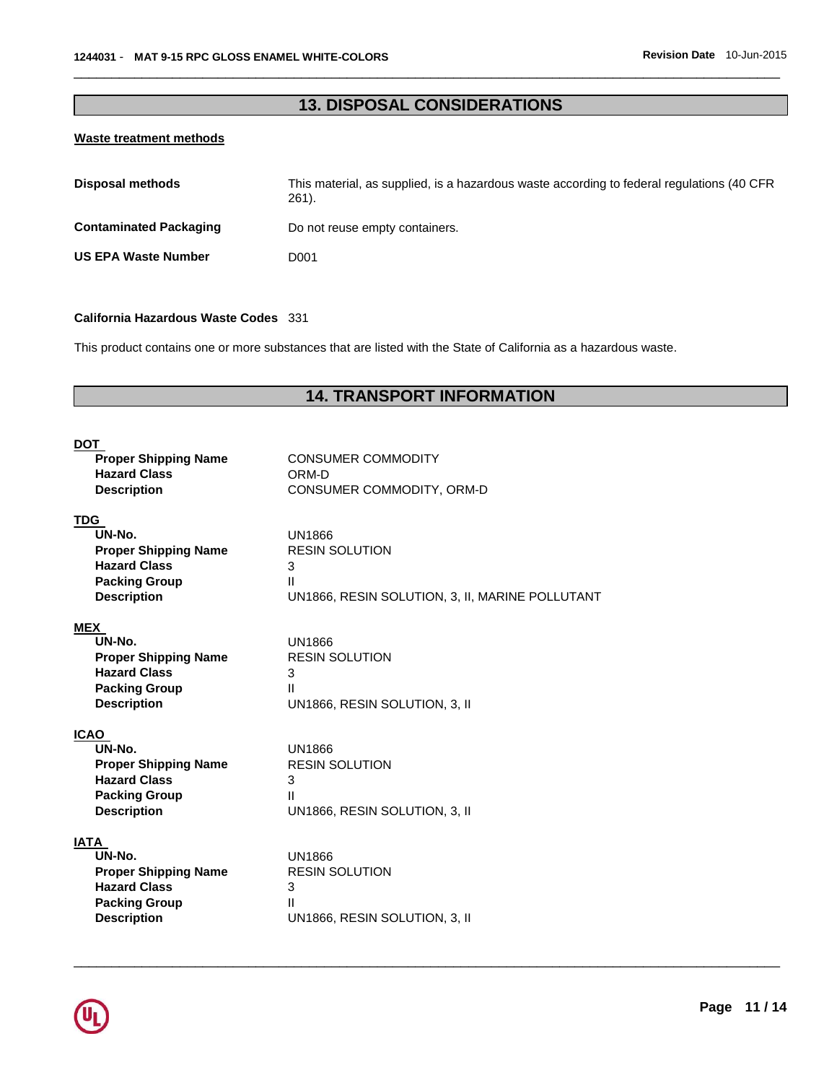# **13. DISPOSAL CONSIDERATIONS**

\_\_\_\_\_\_\_\_\_\_\_\_\_\_\_\_\_\_\_\_\_\_\_\_\_\_\_\_\_\_\_\_\_\_\_\_\_\_\_\_\_\_\_\_\_\_\_\_\_\_\_\_\_\_\_\_\_\_\_\_\_\_\_\_\_\_\_\_\_\_\_\_\_\_\_\_\_\_\_\_\_\_\_\_\_\_\_\_\_\_\_\_\_

# **Waste treatment methods**

| Disposal methods              | This material, as supplied, is a hazardous waste according to federal regulations (40 CFR<br>$261$ ). |
|-------------------------------|-------------------------------------------------------------------------------------------------------|
| <b>Contaminated Packaging</b> | Do not reuse empty containers.                                                                        |
| <b>US EPA Waste Number</b>    | D001                                                                                                  |

#### **California Hazardous Waste Codes** 331

This product contains one or more substances that are listed with the State of California as a hazardous waste.

# **14. TRANSPORT INFORMATION**

| <b>DOT</b>                  |                                                 |
|-----------------------------|-------------------------------------------------|
| <b>Proper Shipping Name</b> | <b>CONSUMER COMMODITY</b>                       |
| <b>Hazard Class</b>         | ORM-D                                           |
| <b>Description</b>          | CONSUMER COMMODITY, ORM-D                       |
|                             |                                                 |
| <b>TDG</b>                  |                                                 |
| UN-No.                      | UN1866                                          |
| <b>Proper Shipping Name</b> | <b>RESIN SOLUTION</b>                           |
| <b>Hazard Class</b>         | 3                                               |
| <b>Packing Group</b>        | $\mathbf{H}$                                    |
| <b>Description</b>          | UN1866, RESIN SOLUTION, 3, II, MARINE POLLUTANT |
| <b>MEX</b>                  |                                                 |
| UN-No.                      | UN1866                                          |
| <b>Proper Shipping Name</b> | <b>RESIN SOLUTION</b>                           |
| <b>Hazard Class</b>         | 3                                               |
| <b>Packing Group</b>        | $\mathbf{H}$                                    |
| <b>Description</b>          | UN1866, RESIN SOLUTION, 3, II                   |
|                             |                                                 |
| <b>ICAO</b>                 |                                                 |
| UN-No.                      | UN1866                                          |
| <b>Proper Shipping Name</b> | <b>RESIN SOLUTION</b>                           |
| <b>Hazard Class</b>         | 3                                               |
| <b>Packing Group</b>        | $\mathbf{H}$                                    |
| <b>Description</b>          | UN1866, RESIN SOLUTION, 3, II                   |
|                             |                                                 |
| <b>IATA</b><br>UN-No.       | UN1866                                          |
| <b>Proper Shipping Name</b> | <b>RESIN SOLUTION</b>                           |
| <b>Hazard Class</b>         | 3                                               |
| <b>Packing Group</b>        | $\mathbf{H}$                                    |
| <b>Description</b>          | UN1866, RESIN SOLUTION, 3, II                   |
|                             |                                                 |

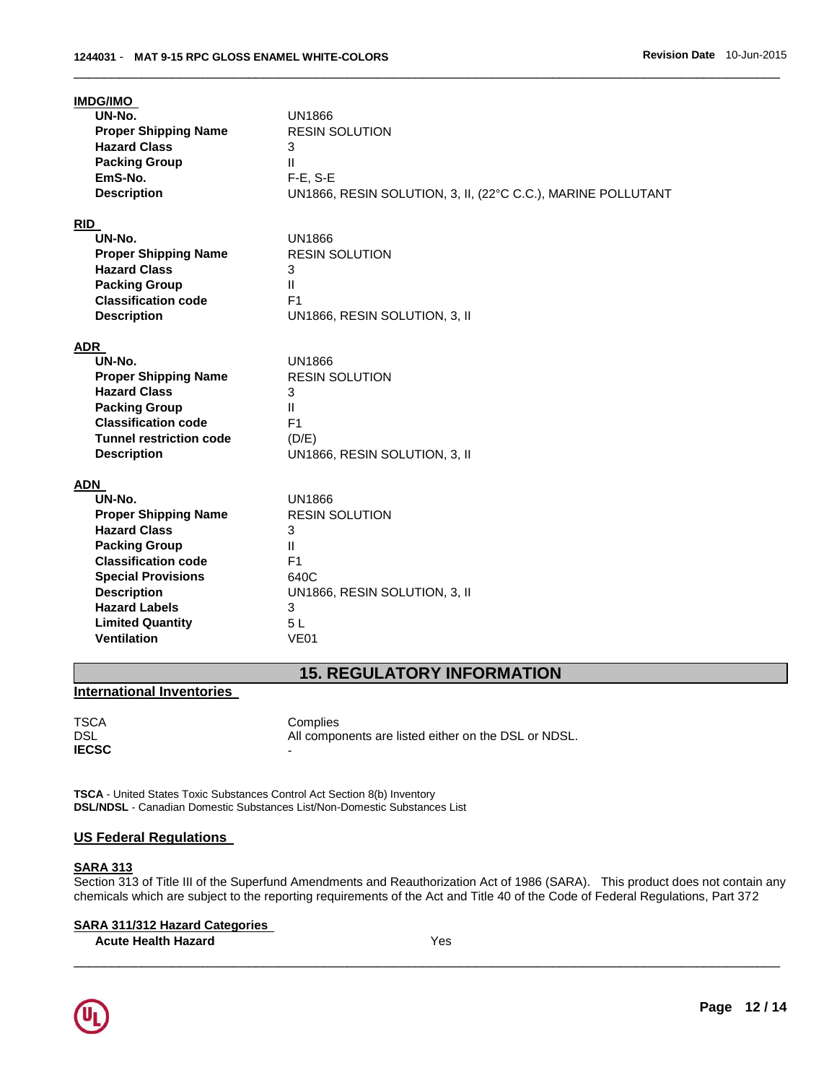| <b>IMDG/IMO</b><br>UN-No.<br><b>Proper Shipping Name</b><br><b>Hazard Class</b><br><b>Packing Group</b><br>EmS-No.<br><b>Description</b>                                                                                                              | <b>UN1866</b><br><b>RESIN SOLUTION</b><br>3<br>$\mathbf{H}$<br>$F-E$ , S-E<br>UN1866, RESIN SOLUTION, 3, II, (22°C C.C.), MARINE POLLUTANT     |
|-------------------------------------------------------------------------------------------------------------------------------------------------------------------------------------------------------------------------------------------------------|------------------------------------------------------------------------------------------------------------------------------------------------|
| <b>RID</b><br>UN-No.<br><b>Proper Shipping Name</b><br><b>Hazard Class</b><br><b>Packing Group</b><br><b>Classification code</b><br><b>Description</b>                                                                                                | <b>UN1866</b><br><b>RESIN SOLUTION</b><br>3<br>$\mathbf{H}$<br>F <sub>1</sub><br>UN1866, RESIN SOLUTION, 3, II                                 |
| ADR<br>UN-No.<br><b>Proper Shipping Name</b><br><b>Hazard Class</b><br><b>Packing Group</b><br><b>Classification code</b><br><b>Tunnel restriction code</b><br><b>Description</b>                                                                     | <b>UN1866</b><br><b>RESIN SOLUTION</b><br>3<br>Ш<br>F <sub>1</sub><br>(D/E)<br>UN1866, RESIN SOLUTION, 3, II                                   |
| ADN<br>UN-No.<br><b>Proper Shipping Name</b><br><b>Hazard Class</b><br><b>Packing Group</b><br><b>Classification code</b><br><b>Special Provisions</b><br><b>Description</b><br><b>Hazard Labels</b><br><b>Limited Quantity</b><br><b>Ventilation</b> | UN1866<br><b>RESIN SOLUTION</b><br>3<br>$\mathbf{H}$<br>F <sub>1</sub><br>640C<br>UN1866, RESIN SOLUTION, 3, II<br>3<br>5L<br>VE <sub>01</sub> |

# **15. REGULATORY INFORMATION**

# **International Inventories**

TSCA Complies<br>DSL All compo All components are listed either on the DSL or NDSL.

**TSCA** - United States Toxic Substances Control Act Section 8(b) Inventory **DSL/NDSL** - Canadian Domestic Substances List/Non-Domestic Substances List

# **US Federal Regulations**

### **SARA 313**

**IECSC** -

Section 313 of Title III of the Superfund Amendments and Reauthorization Act of 1986 (SARA). This product does not contain any chemicals which are subject to the reporting requirements of the Act and Title 40 of the Code of Federal Regulations, Part 372

\_\_\_\_\_\_\_\_\_\_\_\_\_\_\_\_\_\_\_\_\_\_\_\_\_\_\_\_\_\_\_\_\_\_\_\_\_\_\_\_\_\_\_\_\_\_\_\_\_\_\_\_\_\_\_\_\_\_\_\_\_\_\_\_\_\_\_\_\_\_\_\_\_\_\_\_\_\_\_\_\_\_\_\_\_\_\_\_\_\_\_\_\_

# **SARA 311/312 Hazard Categories**

**Acute Health Hazard** Yes

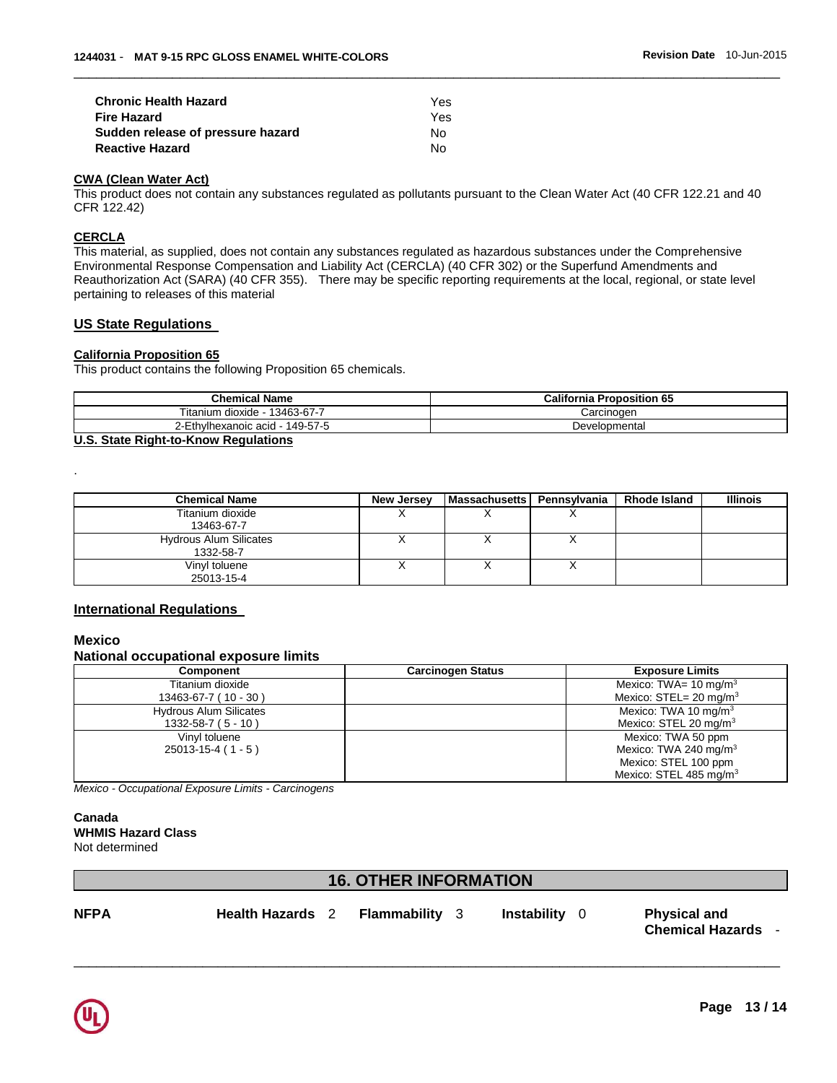| <b>Chronic Health Hazard</b>      | Yes  |
|-----------------------------------|------|
| <b>Fire Hazard</b>                | Yes. |
| Sudden release of pressure hazard | N٥   |
| <b>Reactive Hazard</b>            | N٥   |

### **CWA (Clean Water Act)**

This product does not contain any substances regulated as pollutants pursuant to the Clean Water Act (40 CFR 122.21 and 40 CFR 122.42)

\_\_\_\_\_\_\_\_\_\_\_\_\_\_\_\_\_\_\_\_\_\_\_\_\_\_\_\_\_\_\_\_\_\_\_\_\_\_\_\_\_\_\_\_\_\_\_\_\_\_\_\_\_\_\_\_\_\_\_\_\_\_\_\_\_\_\_\_\_\_\_\_\_\_\_\_\_\_\_\_\_\_\_\_\_\_\_\_\_\_\_\_\_

### **CERCLA**

This material, as supplied, does not contain any substances regulated as hazardous substances under the Comprehensive Environmental Response Compensation and Liability Act (CERCLA) (40 CFR 302) or the Superfund Amendments and Reauthorization Act (SARA) (40 CFR 355). There may be specific reporting requirements at the local, regional, or state level pertaining to releases of this material

### **US State Regulations**

# **California Proposition 65**

This product contains the following Proposition 65 chemicals.

| <b>Chemical Name</b>             | <b>California Proposition 65</b> |
|----------------------------------|----------------------------------|
| 13463-67-7<br>ïtanium<br>dioxide | Carcinogen                       |
| 149-57-5<br>-Ethvlhexanoic acid  | Developmental                    |

### **U.S. State Right-to-Know Regulations**

| <b>Chemical Name</b>                       | New Jersey | l Massachusetts I | Pennsylvania | <b>Rhode Island</b> | <b>Illinois</b> |
|--------------------------------------------|------------|-------------------|--------------|---------------------|-----------------|
| Titanium dioxide<br>13463-67-7             |            |                   | ⌒            |                     |                 |
| <b>Hydrous Alum Silicates</b><br>1332-58-7 |            |                   | ⌒            |                     |                 |
| Vinyl toluene<br>25013-15-4                |            |                   | ↗            |                     |                 |

### **International Regulations**

### **Mexico**

.

#### **National occupational exposure limits**

| <b>Component</b>              | <b>Carcinogen Status</b> | <b>Exposure Limits</b>                |
|-------------------------------|--------------------------|---------------------------------------|
| Titanium dioxide              |                          | Mexico: TWA= $10 \text{ mg/m}^3$      |
| 13463-67-7 (10 - 30)          |                          | Mexico: $STEL = 20$ mg/m <sup>3</sup> |
| <b>Hydrous Alum Silicates</b> |                          | Mexico: TWA 10 mg/m $3$               |
| $1332 - 58 - 7 (5 - 10)$      |                          | Mexico: STEL 20 mg/m <sup>3</sup>     |
| Vinyl toluene                 |                          | Mexico: TWA 50 ppm                    |
| $25013 - 15 - 4(1 - 5)$       |                          | Mexico: TWA 240 mg/m <sup>3</sup>     |
|                               |                          | Mexico: STEL 100 ppm                  |
|                               |                          | Mexico: STEL 485 mg/m <sup>3</sup>    |

*Mexico - Occupational Exposure Limits - Carcinogens* 

### **Canada WHMIS Hazard Class** Not determined

# **16. OTHER INFORMATION**

\_\_\_\_\_\_\_\_\_\_\_\_\_\_\_\_\_\_\_\_\_\_\_\_\_\_\_\_\_\_\_\_\_\_\_\_\_\_\_\_\_\_\_\_\_\_\_\_\_\_\_\_\_\_\_\_\_\_\_\_\_\_\_\_\_\_\_\_\_\_\_\_\_\_\_\_\_\_\_\_\_\_\_\_\_\_\_\_\_\_\_\_\_

**NFPA Health Hazards** 2 **Flammability** 3 **Instability** 0 **Physical and** 

**Chemical Hazards** -